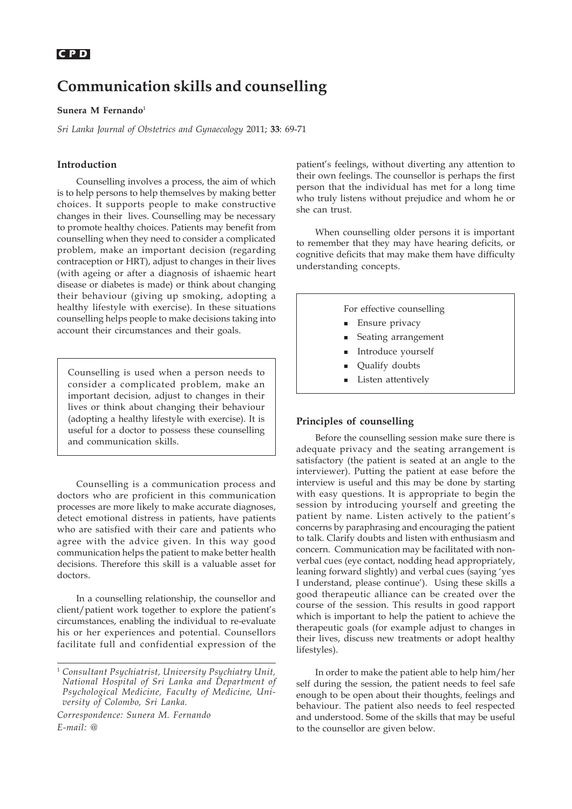# **Communication skills and counselling**

### **Sunera M Fernando**<sup>1</sup>

*Sri Lanka Journal of Obstetrics and Gynaecology* 2011; **33**: 69-71

## **Introduction**

Counselling involves a process, the aim of which is to help persons to help themselves by making better choices. It supports people to make constructive changes in their lives. Counselling may be necessary to promote healthy choices. Patients may benefit from counselling when they need to consider a complicated problem, make an important decision (regarding contraception or HRT), adjust to changes in their lives (with ageing or after a diagnosis of ishaemic heart disease or diabetes is made) or think about changing their behaviour (giving up smoking, adopting a healthy lifestyle with exercise). In these situations counselling helps people to make decisions taking into account their circumstances and their goals.

Counselling is used when a person needs to consider a complicated problem, make an important decision, adjust to changes in their lives or think about changing their behaviour (adopting a healthy lifestyle with exercise). It is useful for a doctor to possess these counselling and communication skills.

Counselling is a communication process and doctors who are proficient in this communication processes are more likely to make accurate diagnoses, detect emotional distress in patients, have patients who are satisfied with their care and patients who agree with the advice given. In this way good communication helps the patient to make better health decisions. Therefore this skill is a valuable asset for doctors.

In a counselling relationship, the counsellor and client/patient work together to explore the patient's circumstances, enabling the individual to re-evaluate his or her experiences and potential. Counsellors facilitate full and confidential expression of the

*Correspondence: Sunera M. Fernando E-mail: @*

patient's feelings, without diverting any attention to their own feelings. The counsellor is perhaps the first person that the individual has met for a long time who truly listens without prejudice and whom he or she can trust.

When counselling older persons it is important to remember that they may have hearing deficits, or cognitive deficits that may make them have difficulty understanding concepts.

For effective counselling

- **Ensure privacy**
- Seating arrangement
- Introduce yourself
- Qualify doubts
- Listen attentively

# **Principles of counselling**

Before the counselling session make sure there is adequate privacy and the seating arrangement is satisfactory (the patient is seated at an angle to the interviewer). Putting the patient at ease before the interview is useful and this may be done by starting with easy questions. It is appropriate to begin the session by introducing yourself and greeting the patient by name. Listen actively to the patient's concerns by paraphrasing and encouraging the patient to talk. Clarify doubts and listen with enthusiasm and concern. Communication may be facilitated with nonverbal cues (eye contact, nodding head appropriately, leaning forward slightly) and verbal cues (saying 'yes I understand, please continue'). Using these skills a good therapeutic alliance can be created over the course of the session. This results in good rapport which is important to help the patient to achieve the therapeutic goals (for example adjust to changes in their lives, discuss new treatments or adopt healthy lifestyles).

In order to make the patient able to help him/her self during the session, the patient needs to feel safe enough to be open about their thoughts, feelings and behaviour. The patient also needs to feel respected and understood. Some of the skills that may be useful to the counsellor are given below.

<sup>1</sup> *Consultant Psychiatrist, University Psychiatry Unit, National Hospital of Sri Lanka and Department of Psychological Medicine, Faculty of Medicine, University of Colombo, Sri Lanka.*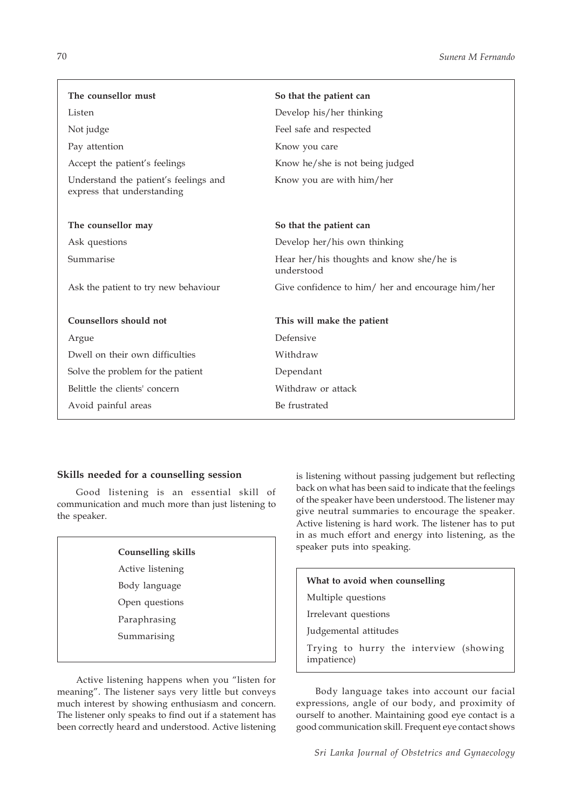| The counsellor must                                                 | So that the patient can                                |
|---------------------------------------------------------------------|--------------------------------------------------------|
| Listen                                                              | Develop his/her thinking                               |
| Not judge                                                           | Feel safe and respected                                |
| Pay attention                                                       | Know you care                                          |
| Accept the patient's feelings                                       | Know he/she is not being judged                        |
| Understand the patient's feelings and<br>express that understanding | Know you are with him/her                              |
| The counsellor may                                                  | So that the patient can                                |
| Ask questions                                                       | Develop her/his own thinking                           |
| Summarise                                                           | Hear her/his thoughts and know she/he is<br>understood |
| Ask the patient to try new behaviour                                | Give confidence to him/ her and encourage him/her      |
| Counsellors should not                                              | This will make the patient                             |
| Argue                                                               | Defensive                                              |
| Dwell on their own difficulties                                     | Withdraw                                               |
| Solve the problem for the patient                                   | Dependant                                              |
| Belittle the clients' concern                                       | Withdraw or attack                                     |
| Avoid painful areas                                                 | Be frustrated                                          |

# **Skills needed for a counselling session**

Good listening is an essential skill of communication and much more than just listening to the speaker.

Active listening Body language Open questions Paraphrasing Summarising

Active listening happens when you "listen for meaning". The listener says very little but conveys much interest by showing enthusiasm and concern. The listener only speaks to find out if a statement has been correctly heard and understood. Active listening

is listening without passing judgement but reflecting back on what has been said to indicate that the feelings of the speaker have been understood. The listener may give neutral summaries to encourage the speaker. Active listening is hard work. The listener has to put in as much effort and energy into listening, as the speaker puts into speaking. **Counselling skills**

# **What to avoid when counselling** Multiple questions Irrelevant questions Judgemental attitudes Trying to hurry the interview (showing impatience)

Body language takes into account our facial expressions, angle of our body, and proximity of ourself to another. Maintaining good eye contact is a good communication skill. Frequent eye contact shows

*Sri Lanka Journal of Obstetrics and Gynaecology*